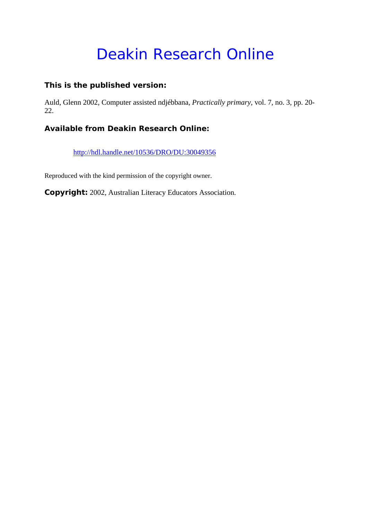# Deakin Research Online

### **This is the published version:**

Auld, Glenn 2002, Computer assisted ndjébbana*, Practically primary*, vol. 7, no. 3, pp. 20- 22.

## **Available from Deakin Research Online:**

http://hdl.handle.net/10536/DRO/DU:30049356

Reproduced with the kind permission of the copyright owner.

**Copyright:** 2002, Australian Literacy Educators Association.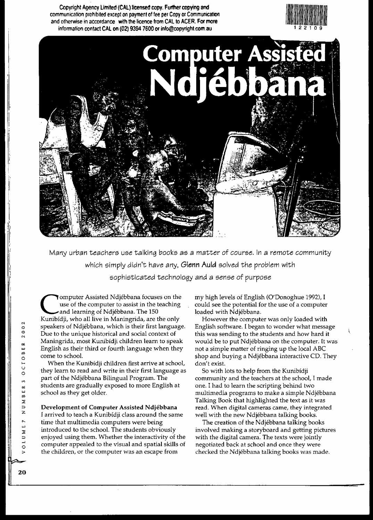





Many urban teachers use talking books as a matter of course. In a remote community which simply didn't have any, Glenn Auld solved the problem with sophisticated technology and a sense of purpose

**Jomputer Assisted Ndjébbana focuses on the** use of the computer to assist in the teaching and learning of Ndjébbana. The 150 Kunibidji, who all live in Maningrida, are the only speakers of Ndjebbana, which is their first language. Due to the unique historical and social context of Maningrida, most Kunibidji children learn to speak English as their third or fourth language when they come to school.

When the Kunibidji children first arrive at school, they learn to read and write in their first language as part of the Ndjebbana Bilingual Program. The students are gradually exposed to more English at school as they get older.

#### Development of Computer Assisted Ndjebbana

I arrived to teach a Kunibidji class around the same time that multimedia computers were being introduced to the school. The students obviously enjoyed using them. Whether the interactivity of the computer appealed to the visual and spatial skills of the children, or the computer was an escape from

my high levels of English (O'Donoghue 1992), I could see the potential for the use of a computer loaded with Ndjebbana.

However the computer was only loaded with English software. I began to wonder what message this was sending to the students and how hard it would be to put Ndjebbana on the computer. It was not a simple matter of ringing up the local ABC shop and buying a Ndjebbana interactive CD. They don't exist.

So with lots to help from the Kunibidji community and the teachers at the school, I made one. I had to learn the scripting behind two multimedia programs to make a simple Ndjebbana Talking Book that highlighted the text as it was read. When digital cameras came, they integrated well with the new Ndjebbana talking books.

The creation of the Ndjebbana talking books involved making a storyboard and getting pictures with the digital camera. The texts were jointly negotiated back at school and once they were checked the Ndjebbana talking books was made.

 $\cdot$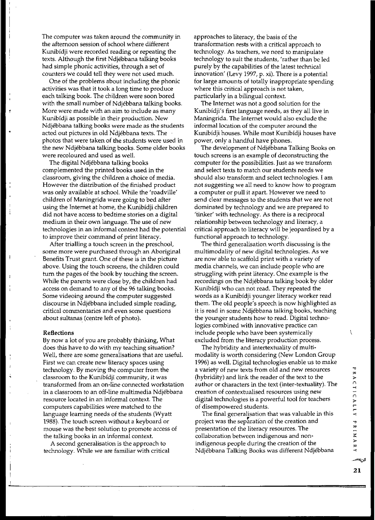The computer was taken around the community in the afternoon session of school where different Kunibidji were recorded reading or repeating the texts. Although the first Ndjebbana talking books had simple phonic activities, through a set of counters we could tell they were not used much.

One of the problems about including the phonic activities was that it took a long time to produce each talking book. The children were soon bored with the small number of Ndjebbana talking books. More were made with an aim to include as many Kunibidji as possible in their production. New Ndjebbana talking books were made as the students acted out pictures in old Ndjebbana texts. The . photos that were taken of the students were used in the new Ndjebbana talking books. Some older books were recoloured and used as well.

The digital Ndjebbana talking books complemented the printed books used in the classroom, giving the children a choice of media. However the distribution of the finished product was only available at school. While the 'roadville' children of Maningrida were going to bed after using the Internet at home, the Kunibidji children did not have access to bedtime stories on a digital medium in their own language. The use of new technologies in an informal context had the potential to improve their command of print literacy.

After trialling a touch screen in the preschool, some more were purchased through an Aboriginal Benefits Trust grant. One of these is in the picture above. Using the touch screens, the children could turn the pages of the book by touching the screen. While the parents were close by, the children had access on demand to any of the 96 talking books. Some videoing around the computer suggested discourse in Ndjebbana included simple reading, critical commentaries and even some questions about sultanas (centre left of photo).

#### Reflections

By now a lot of you are probably thinking, What does this have to do with my teaching situation? Well, there are some generalisations that are useful. First we can create new literacy spaces using technology. By moving the computer from the classroom to the Kurubidji community, it was transformed from an on-line connected workstation in a classroom to an off-line multimedia Ndjebbana resource located in an informal context. The computers capabilities were matched to the language learning needs of the students (Wyatt 1988). The touch screen without a keyboard or mouse was the best solution to promote access of the talking books in an informal context.

A second generalisation is the approach to technology. While we are familiar with critical approaches to literacy, the basis of the transformation rests with a critical approach to technology. As teachers, we need to manipulate technology to suit the students, 'rather than be led purely by the capabilities of the latest technical innovation' (Levy 1997, p. xi). There is a potential for large amounts of totally inappropriate spending where this critical approach is not taken, particularly in a bilingual context.

The Internet was not a good solution for the Kunibidji's first language needs, as they all live in Maningrida. The Internet would also exclude the informal location of the computer around the Kunibidji houses. While most Kunibidji houses have power, only a handful have phones.

The development of Ndjebbana Talking Books on touch screens is an example of deconstructing the computer for the possibilities. Just as we transform and select texts to match our students needs we should also transform and select technologies. I am not suggesting we all need to know how to program a computer or pull it apart. However we need to send clear messages to the students that we are not dominated by technology and we are prepared to 'tinker' with technology. As there is a reciprocal relationship between technology and literacy, a critical approach to literacy will be jeopardised by a functional approach to technology.

The third generalisation worth discussing is the multimodality of new digital technologies. As we are now able to scaffold print with a variety of media channels, we can include people who are struggling with print literacy. One example is the recordings on the Ndjebbana talking book by older Kunibidji who can not read. They repeated the words as a Kunibidji younger literacy worker read them. The old people's speech is now highlighted as it is read in some Ndjebbana talking books, teaching the younger students how to read. Digital technologies combined with innovative practice can include people who have been systemically excluded from the literacy production process.

The hybridity and intertextuality of multimodality is worth considering (New London Group 1996) as well. Digital technologies enable us to make a variety of new texts from old and new resources (hybridity) and link the reader of the text to the author or characters in the text (inter-textuality), The creation of contextualised resources using new digital technologies is a powerful tool for teachers of disempowered students.

The final generalisation that was valuable in this project was the separation of the creation and presentation of the literacy resources. The collaboration between indigenous and nonindigenous people during the creation of the Ndjebbana Talking Books was different Ndjebbana V

**21**